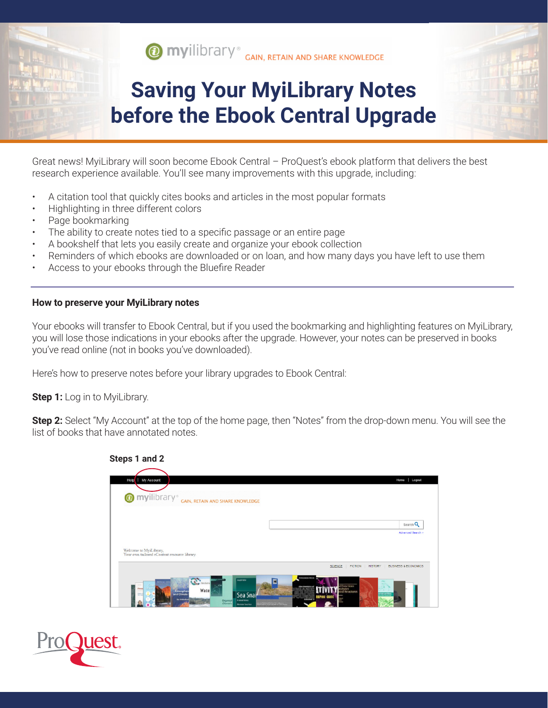

## **Saving Your MyiLibrary Notes before the Ebook Central Upgrade**

Great news! MyiLibrary will soon become Ebook Central – ProQuest's ebook platform that delivers the best research experience available. You'll see many improvements with this upgrade, including:

- A citation tool that quickly cites books and articles in the most popular formats
- Highlighting in three different colors
- Page bookmarking
- The ability to create notes tied to a specific passage or an entire page
- A bookshelf that lets you easily create and organize your ebook collection
- Reminders of which ebooks are downloaded or on loan, and how many days you have left to use them
- Access to your ebooks through the Bluefire Reader

**Steps 1 and 2**

## **How to preserve your MyiLibrary notes**

Your ebooks will transfer to Ebook Central, but if you used the bookmarking and highlighting features on MyiLibrary, you will lose those indications in your ebooks after the upgrade. However, your notes can be preserved in books you've read online (not in books you've downloaded).

Here's how to preserve notes before your library upgrades to Ebook Central:

**Step 1:** Log in to MyiLibrary.

**Step 2:** Select "My Account" at the top of the home page, then "Notes" from the drop-down menu. You will see the list of books that have annotated notes.

| My Account<br>Help                                                                     | Home<br>Logout                                                                                          |
|----------------------------------------------------------------------------------------|---------------------------------------------------------------------------------------------------------|
| <b>O</b> myilibrary®                                                                   | GAIN, RETAIN AND SHARE KNOWLEDGE                                                                        |
|                                                                                        | Search Q                                                                                                |
|                                                                                        | <b>Advanced Search &gt;</b>                                                                             |
|                                                                                        |                                                                                                         |
|                                                                                        |                                                                                                         |
| Welcome to MyiLibrary,<br>Your own tailored eContent resource library.<br>$\sum_{m,m}$ | SCIENCE<br><b>FICTION</b><br><b>HISTORY</b><br><b>BUSINESS &amp; ECONOMICS</b><br><b>PERGAWON PRESS</b> |